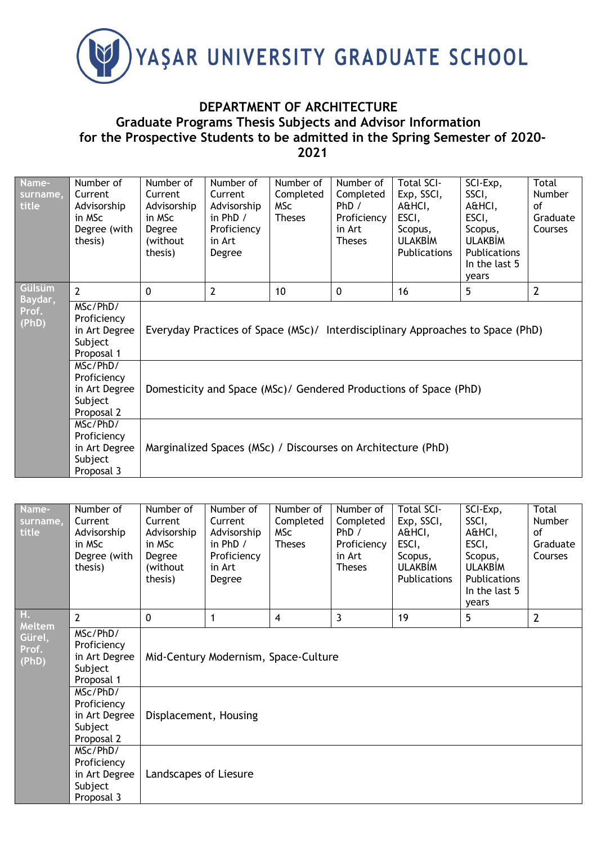

## **DEPARTMENT OF ARCHITECTURE Graduate Programs Thesis Subjects and Advisor Information for the Prospective Students to be admitted in the Spring Semester of 2020- 2021**

| Name-<br>surname,<br>title | Number of<br>Current<br>Advisorship<br>in MSc<br>Degree (with<br>thesis) | Number of<br>Current<br>Advisorship<br>in MSc<br>Degree<br>(without)<br>thesis) | Number of<br>Current<br>Advisorship<br>in $PhD /$<br>Proficiency<br>in Art<br>Degree | Number of<br>Completed<br><b>MSc</b><br><b>Theses</b> | Number of<br>Completed<br>PhD /<br>Proficiency<br>in Art<br><b>Theses</b> | <b>Total SCI-</b><br>Exp, SSCI,<br>A&HCI,<br>ESCI,<br>Scopus,<br><b>ULAKBIM</b><br><b>Publications</b> | SCI-Exp,<br>SSCI,<br>A&HCI,<br>ESCI,<br>Scopus,<br><b>ULAKBIM</b><br><b>Publications</b><br>In the last 5<br>years | Total<br><b>Number</b><br>of<br>Graduate<br>Courses |  |  |
|----------------------------|--------------------------------------------------------------------------|---------------------------------------------------------------------------------|--------------------------------------------------------------------------------------|-------------------------------------------------------|---------------------------------------------------------------------------|--------------------------------------------------------------------------------------------------------|--------------------------------------------------------------------------------------------------------------------|-----------------------------------------------------|--|--|
| Gülsüm<br>Baydar,          | $\overline{2}$                                                           | $\mathbf{0}$                                                                    | $\overline{2}$                                                                       | 10                                                    | $\mathbf 0$                                                               | 16                                                                                                     | 5                                                                                                                  | $\overline{2}$                                      |  |  |
| Prof.<br>(PhD)             | MSc/PhD/<br>Proficiency<br>in Art Degree<br>Subject<br>Proposal 1        | Everyday Practices of Space (MSc)/ Interdisciplinary Approaches to Space (PhD)  |                                                                                      |                                                       |                                                                           |                                                                                                        |                                                                                                                    |                                                     |  |  |
|                            | MSc/PhD/<br>Proficiency<br>in Art Degree<br>Subject<br>Proposal 2        | Domesticity and Space (MSc)/ Gendered Productions of Space (PhD)                |                                                                                      |                                                       |                                                                           |                                                                                                        |                                                                                                                    |                                                     |  |  |
|                            | MSc/PhD/<br>Proficiency<br>in Art Degree<br>Subject<br>Proposal 3        | Marginalized Spaces (MSc) / Discourses on Architecture (PhD)                    |                                                                                      |                                                       |                                                                           |                                                                                                        |                                                                                                                    |                                                     |  |  |

| Name-<br>surname,<br>title | Number of<br>Current<br>Advisorship<br>in MSc<br>Degree (with<br>thesis) | Number of<br>Current<br>Advisorship<br>in MSc<br>Degree<br>(without<br>thesis) | Number of<br>Current<br>Advisorship<br>in $PhD /$<br>Proficiency<br>in Art<br>Degree | Number of<br>Completed<br>MSc<br><b>Theses</b> | Number of<br>Completed<br>PhD /<br>Proficiency<br>in Art<br><b>Theses</b> | <b>Total SCI-</b><br>Exp, SSCI,<br>A&HCI,<br>ESCI,<br>Scopus,<br><b>ULAKBIM</b><br><b>Publications</b> | SCI-Exp,<br>SSCI,<br>A&HCI,<br>ESCI,<br>Scopus,<br><b>ULAKBIM</b><br>Publications<br>In the last 5<br>years | <b>Total</b><br><b>Number</b><br>οf<br>Graduate<br><b>Courses</b> |  |  |
|----------------------------|--------------------------------------------------------------------------|--------------------------------------------------------------------------------|--------------------------------------------------------------------------------------|------------------------------------------------|---------------------------------------------------------------------------|--------------------------------------------------------------------------------------------------------|-------------------------------------------------------------------------------------------------------------|-------------------------------------------------------------------|--|--|
| Н.<br>Meltem               | $\overline{2}$                                                           | $\Omega$                                                                       | 1                                                                                    | 4                                              | 3                                                                         | 19                                                                                                     | 5                                                                                                           | $\overline{2}$                                                    |  |  |
| Gürel,<br>Prof.<br>(PhD)   | MSc/PhD/<br>Proficiency<br>in Art Degree<br>Subject<br>Proposal 1        | Mid-Century Modernism, Space-Culture                                           |                                                                                      |                                                |                                                                           |                                                                                                        |                                                                                                             |                                                                   |  |  |
|                            | MSc/PhD/<br>Proficiency<br>in Art Degree<br>Subject<br>Proposal 2        | Displacement, Housing                                                          |                                                                                      |                                                |                                                                           |                                                                                                        |                                                                                                             |                                                                   |  |  |
|                            | MSc/PhD/<br>Proficiency<br>in Art Degree<br>Subject<br>Proposal 3        | Landscapes of Liesure                                                          |                                                                                      |                                                |                                                                           |                                                                                                        |                                                                                                             |                                                                   |  |  |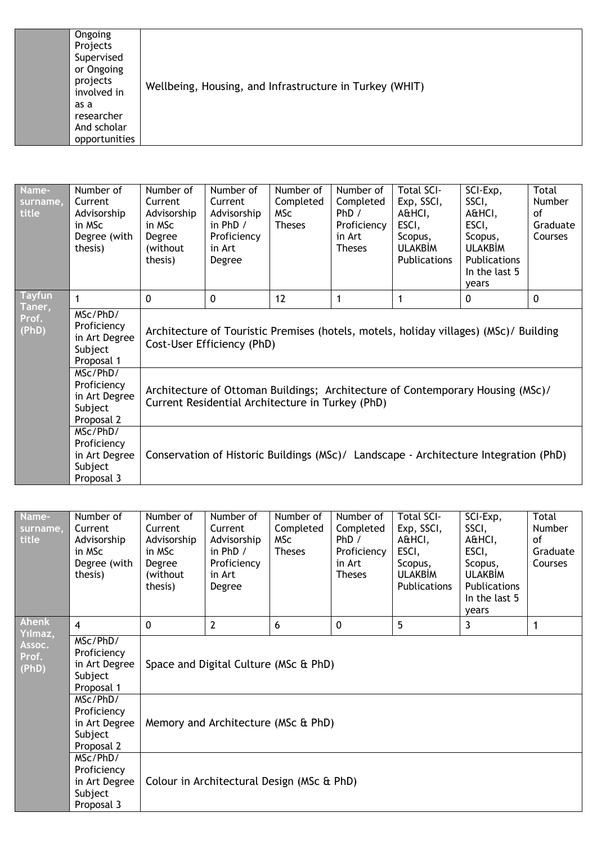| Ongoing<br>Projects<br>Supervised<br>or Ongoing<br>projects<br>involved in<br>as a<br>researcher<br>And scholar<br>opportunities | Wellbeing, Housing, and Infrastructure in Turkey (WHIT) |
|----------------------------------------------------------------------------------------------------------------------------------|---------------------------------------------------------|
|----------------------------------------------------------------------------------------------------------------------------------|---------------------------------------------------------|

| Name-<br>surname,<br>title | Number of<br>Current<br>Advisorship<br>in MSc<br>Degree (with<br>thesis) | Number of<br>Current<br>Advisorship<br>in MSc<br>Degree<br>(without)<br>thesis)                                                    | Number of<br>Current<br>Advisorship<br>in $PhD /$<br>Proficiency<br>in Art<br>Degree | Number of<br>Completed<br><b>MSc</b><br><b>Theses</b> | Number of<br>Completed<br>PhD /<br>Proficiency<br>in Art<br><b>Theses</b> | Total SCI-<br>Exp, SSCI,<br>A&HCI,<br>ESCI,<br>Scopus,<br><b>ULAKBİM</b><br>Publications | SCI-Exp,<br>SSCI,<br>A&HCI,<br>ESCI,<br>Scopus,<br><b>ULAKBİM</b><br>Publications<br>In the last 5<br>years | <b>Total</b><br><b>Number</b><br>of<br>Graduate<br>Courses |  |
|----------------------------|--------------------------------------------------------------------------|------------------------------------------------------------------------------------------------------------------------------------|--------------------------------------------------------------------------------------|-------------------------------------------------------|---------------------------------------------------------------------------|------------------------------------------------------------------------------------------|-------------------------------------------------------------------------------------------------------------|------------------------------------------------------------|--|
| <b>Tayfun</b><br>Taner,    | 1                                                                        | $\Omega$                                                                                                                           | $\Omega$                                                                             | $12 \overline{ }$                                     | 1                                                                         | 1                                                                                        | $\Omega$                                                                                                    | $\Omega$                                                   |  |
| Prof.<br>(PhD)             | MSc/PhD/<br>Proficiency<br>in Art Degree<br>Subject<br>Proposal 1        | Architecture of Touristic Premises (hotels, motels, holiday villages) (MSc)/ Building<br>Cost-User Efficiency (PhD)                |                                                                                      |                                                       |                                                                           |                                                                                          |                                                                                                             |                                                            |  |
|                            | MSc/PhD/<br>Proficiency<br>in Art Degree<br>Subject<br>Proposal 2        | Architecture of Ottoman Buildings; Architecture of Contemporary Housing (MSc)/<br>Current Residential Architecture in Turkey (PhD) |                                                                                      |                                                       |                                                                           |                                                                                          |                                                                                                             |                                                            |  |
|                            | MSc/PhD/<br>Proficiency<br>in Art Degree<br>Subject<br>Proposal 3        | Conservation of Historic Buildings (MSc)/ Landscape - Architecture Integration (PhD)                                               |                                                                                      |                                                       |                                                                           |                                                                                          |                                                                                                             |                                                            |  |

| Name-<br>surname,<br>title | Number of<br>Current<br>Advisorship<br>in MSc<br>Degree (with<br>thesis) | Number of<br>Current<br>Advisorship<br>in MSc<br>Degree<br>(without<br>thesis) | Number of<br>Current<br>Advisorship<br>in $PhD /$<br>Proficiency<br>in Art<br>Degree | Number of<br>Completed<br>MSc<br><b>Theses</b> | Number of<br>Completed<br>PhD /<br>Proficiency<br>in Art<br><b>Theses</b> | <b>Total SCI-</b><br>Exp, SSCI,<br>A&HCI,<br>ESCI,<br>Scopus,<br><b>ULAKBIM</b><br><b>Publications</b> | SCI-Exp,<br>SSCI,<br>A&HCI,<br>ESCI,<br>Scopus,<br><b>ULAKBIM</b><br>Publications<br>In the last 5<br>years | Total<br>Number<br>of<br>Graduate<br>Courses |  |  |
|----------------------------|--------------------------------------------------------------------------|--------------------------------------------------------------------------------|--------------------------------------------------------------------------------------|------------------------------------------------|---------------------------------------------------------------------------|--------------------------------------------------------------------------------------------------------|-------------------------------------------------------------------------------------------------------------|----------------------------------------------|--|--|
| Ahenk<br>Yılmaz,           | $\overline{4}$                                                           | $\Omega$                                                                       | $\overline{2}$                                                                       | 6                                              | $\mathbf 0$                                                               | 5                                                                                                      | 3                                                                                                           | 1                                            |  |  |
| Assoc.<br>Prof.<br>(PhD)   | MSc/PhD/<br>Proficiency<br>in Art Degree<br>Subject<br>Proposal 1        | Space and Digital Culture (MSc & PhD)                                          |                                                                                      |                                                |                                                                           |                                                                                                        |                                                                                                             |                                              |  |  |
|                            | MSc/PhD/<br>Proficiency<br>in Art Degree<br>Subject<br>Proposal 2        | Memory and Architecture (MSc & PhD)                                            |                                                                                      |                                                |                                                                           |                                                                                                        |                                                                                                             |                                              |  |  |
|                            | MSc/PhD/<br>Proficiency<br>in Art Degree<br>Subject<br>Proposal 3        |                                                                                | Colour in Architectural Design (MSc & PhD)                                           |                                                |                                                                           |                                                                                                        |                                                                                                             |                                              |  |  |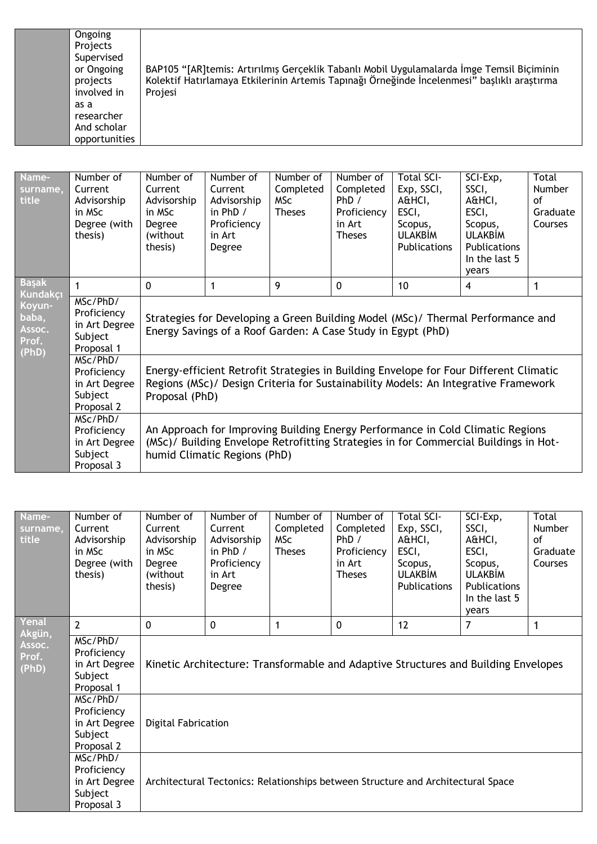BAP105 "[AR]temis: Artırılmış Gerçeklik Tabanlı Mobil Uygulamalarda İmge Temsil Biçiminin Kolektif Hatırlamaya Etkilerinin Artemis Tapınağı Örneğinde İncelenmesi" başlıklı araştırma Projesi

| Name-<br>surname,<br>title                  | Number of<br>Current<br>Advisorship<br>in MSc<br>Degree (with<br>thesis) | Number of<br>Current<br>Advisorship<br>in MSc<br>Degree<br>(without)<br>thesis)                                                                                                                        | Number of<br>Current<br>Advisorship<br>in $PhD /$<br>Proficiency<br>in Art<br>Degree | Number of<br>Completed<br>MSc<br><b>Theses</b> | Number of<br>Completed<br>PhD /<br>Proficiency<br>in Art<br><b>Theses</b> | <b>Total SCI-</b><br>Exp, SSCI,<br>A&HCI,<br>ESCI,<br>Scopus,<br><b>ULAKBIM</b><br><b>Publications</b> | SCI-Exp,<br>SSCI,<br>A&HCI,<br>ESCI,<br>Scopus,<br><b>ULAKBIM</b><br><b>Publications</b><br>In the last 5<br>years | Total<br>Number<br>οf<br>Graduate<br>Courses |  |  |
|---------------------------------------------|--------------------------------------------------------------------------|--------------------------------------------------------------------------------------------------------------------------------------------------------------------------------------------------------|--------------------------------------------------------------------------------------|------------------------------------------------|---------------------------------------------------------------------------|--------------------------------------------------------------------------------------------------------|--------------------------------------------------------------------------------------------------------------------|----------------------------------------------|--|--|
| <b>Başak</b><br><b>Kundakçı</b>             | 1                                                                        | $\mathbf 0$                                                                                                                                                                                            | 1                                                                                    | 9                                              | $\mathbf 0$                                                               | 10                                                                                                     | 4                                                                                                                  | 1                                            |  |  |
| Koyun-<br>baba,<br>Assoc.<br>Prof.<br>(PhD) | MSc/PhD/<br>Proficiency<br>in Art Degree<br>Subject<br>Proposal 1        | Strategies for Developing a Green Building Model (MSc)/ Thermal Performance and<br>Energy Savings of a Roof Garden: A Case Study in Egypt (PhD)                                                        |                                                                                      |                                                |                                                                           |                                                                                                        |                                                                                                                    |                                              |  |  |
|                                             | MSc/PhD/<br>Proficiency<br>in Art Degree<br>Subject<br>Proposal 2        | Energy-efficient Retrofit Strategies in Building Envelope for Four Different Climatic<br>Regions (MSc)/ Design Criteria for Sustainability Models: An Integrative Framework<br>Proposal (PhD)          |                                                                                      |                                                |                                                                           |                                                                                                        |                                                                                                                    |                                              |  |  |
|                                             | MSc/PhD/<br>Proficiency<br>in Art Degree<br>Subject<br>Proposal 3        | An Approach for Improving Building Energy Performance in Cold Climatic Regions<br>(MSc)/ Building Envelope Retrofitting Strategies in for Commercial Buildings in Hot-<br>humid Climatic Regions (PhD) |                                                                                      |                                                |                                                                           |                                                                                                        |                                                                                                                    |                                              |  |  |

| Name-<br>surname,<br>title | Number of<br>Current<br>Advisorship<br>in MSc<br>Degree (with<br>thesis) | Number of<br>Current<br>Advisorship<br>in MSc<br>Degree<br>(without)<br>thesis)    | Number of<br>Current<br>Advisorship<br>in $PhD /$<br>Proficiency<br>in Art<br>Degree | Number of<br>Completed<br>MSc<br><b>Theses</b> | Number of<br>Completed<br>PhD /<br>Proficiency<br>in Art<br><b>Theses</b> | <b>Total SCI-</b><br>Exp, SSCI,<br>A&HCI,<br>ESCI,<br>Scopus,<br><b>ULAKBIM</b><br><b>Publications</b> | SCI-Exp,<br>SSCI,<br>A&HCI,<br>ESCI,<br>Scopus,<br><b>ULAKBIM</b><br>Publications<br>In the last 5<br>vears | <b>Total</b><br><b>Number</b><br>οf<br>Graduate<br>Courses |  |  |
|----------------------------|--------------------------------------------------------------------------|------------------------------------------------------------------------------------|--------------------------------------------------------------------------------------|------------------------------------------------|---------------------------------------------------------------------------|--------------------------------------------------------------------------------------------------------|-------------------------------------------------------------------------------------------------------------|------------------------------------------------------------|--|--|
| Yenal<br>Akgün,            | $\overline{2}$                                                           | $\Omega$                                                                           | $\mathbf{0}$                                                                         | 1                                              | $\Omega$                                                                  | 12                                                                                                     | 7                                                                                                           | $\mathbf{1}$                                               |  |  |
| Assoc.<br>Prof.<br>(PhD)   | MSc/PhD/<br>Proficiency<br>in Art Degree<br>Subject<br>Proposal 1        | Kinetic Architecture: Transformable and Adaptive Structures and Building Envelopes |                                                                                      |                                                |                                                                           |                                                                                                        |                                                                                                             |                                                            |  |  |
|                            | MSc/PhD/<br>Proficiency<br>in Art Degree<br>Subject<br>Proposal 2        | <b>Digital Fabrication</b>                                                         |                                                                                      |                                                |                                                                           |                                                                                                        |                                                                                                             |                                                            |  |  |
|                            | MSc/PhD/<br>Proficiency<br>in Art Degree<br>Subject<br>Proposal 3        |                                                                                    |                                                                                      |                                                |                                                                           | Architectural Tectonics: Relationships between Structure and Architectural Space                       |                                                                                                             |                                                            |  |  |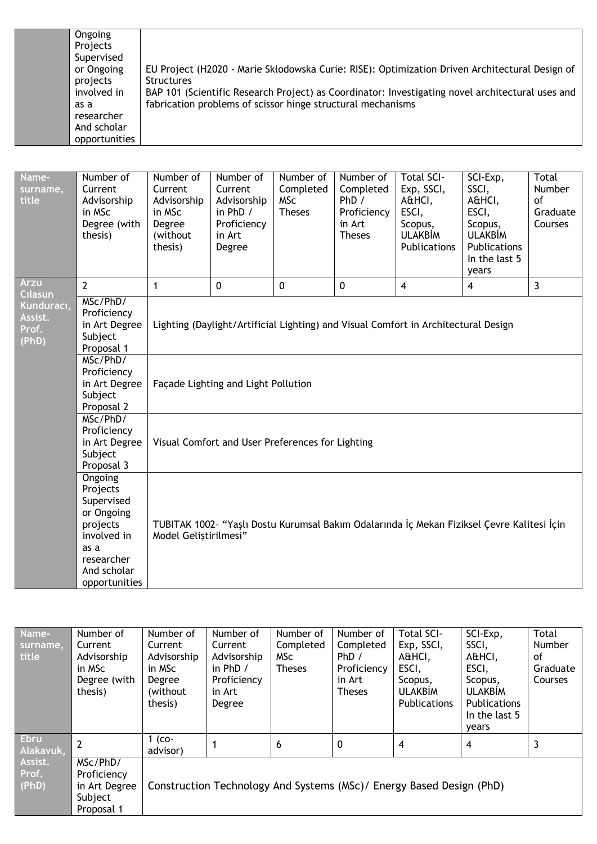| Ongoing       |                                                                                                  |
|---------------|--------------------------------------------------------------------------------------------------|
| Projects      |                                                                                                  |
| Supervised    |                                                                                                  |
| or Ongoing    | EU Project (H2020 - Marie Skłodowska Curie: RISE): Optimization Driven Architectural Design of   |
| projects      | <b>Structures</b>                                                                                |
| involved in   | BAP 101 (Scientific Research Project) as Coordinator: Investigating novel architectural uses and |
| as a          | fabrication problems of scissor hinge structural mechanisms                                      |
| researcher    |                                                                                                  |
| And scholar   |                                                                                                  |
| opportunities |                                                                                                  |

| Name-<br>surname,<br>title              | Number of<br>Current<br>Advisorship<br>in MSc<br>Degree (with<br>thesis)                                                         | Number of<br>Current<br>Advisorship<br>in MSc<br>Degree<br>(without)<br>thesis)                                     | Number of<br>Current<br>Advisorship<br>in $PhD /$<br>Proficiency<br>in Art<br>Degree | Number of<br>Completed<br><b>MSc</b><br><b>Theses</b> | Number of<br>Completed<br>PhD /<br>Proficiency<br>in Art<br><b>Theses</b> | <b>Total SCI-</b><br>Exp, SSCI,<br>A&HCI,<br>ESCI,<br>Scopus,<br><b>ULAKBİM</b><br><b>Publications</b> | SCI-Exp,<br>SSCI,<br>A&HCI,<br>ESCI,<br>Scopus,<br><b>ULAKBIM</b><br><b>Publications</b><br>In the last 5<br>years | Total<br><b>Number</b><br>of<br>Graduate<br>Courses |  |  |
|-----------------------------------------|----------------------------------------------------------------------------------------------------------------------------------|---------------------------------------------------------------------------------------------------------------------|--------------------------------------------------------------------------------------|-------------------------------------------------------|---------------------------------------------------------------------------|--------------------------------------------------------------------------------------------------------|--------------------------------------------------------------------------------------------------------------------|-----------------------------------------------------|--|--|
| <b>Arzu</b><br><b>C</b> ılasun          | $\overline{2}$                                                                                                                   | $\mathbf{1}$                                                                                                        | 0                                                                                    | 0                                                     | 0                                                                         | 4                                                                                                      | 4                                                                                                                  | $\overline{3}$                                      |  |  |
| Kunduracı,<br>Assist.<br>Prof.<br>(PhD) | MSc/PhD/<br>Proficiency<br>in Art Degree<br>Subject<br>Proposal 1<br>MSc/PhD/<br>Proficiency                                     | Lighting (Daylight/Artificial Lighting) and Visual Comfort in Architectural Design                                  |                                                                                      |                                                       |                                                                           |                                                                                                        |                                                                                                                    |                                                     |  |  |
|                                         | in Art Degree<br>Subject<br>Proposal 2                                                                                           |                                                                                                                     | Façade Lighting and Light Pollution                                                  |                                                       |                                                                           |                                                                                                        |                                                                                                                    |                                                     |  |  |
|                                         | MSc/PhD/<br>Proficiency<br>in Art Degree<br>Subject<br>Proposal 3                                                                | Visual Comfort and User Preferences for Lighting                                                                    |                                                                                      |                                                       |                                                                           |                                                                                                        |                                                                                                                    |                                                     |  |  |
|                                         | Ongoing<br>Projects<br>Supervised<br>or Ongoing<br>projects<br>involved in<br>as a<br>researcher<br>And scholar<br>opportunities | TUBITAK 1002- "Yaşlı Dostu Kurumsal Bakım Odalarında İç Mekan Fiziksel Çevre Kalitesi İçin<br>Model Geliștirilmesi" |                                                                                      |                                                       |                                                                           |                                                                                                        |                                                                                                                    |                                                     |  |  |

| Name-       | Number of      | Number of   | Number of   | Number of     | Number of     | <b>Total SCI-</b>                                                    | SCI-Exp,       | Total    |
|-------------|----------------|-------------|-------------|---------------|---------------|----------------------------------------------------------------------|----------------|----------|
| surname,    | Current        | Current     | Current     | Completed     | Completed     | Exp, SSCI,                                                           | SSCI,          | Number   |
| title       | Advisorship    | Advisorship | Advisorship | MSc           | PhD /         | A&HCI,                                                               | A&HCI,         | οf       |
|             | in MSc         | in MSc      | in $PhD /$  | <b>Theses</b> | Proficiency   | ESCI,                                                                | ESCI,          | Graduate |
|             | Degree (with   | Degree      | Proficiency |               | in Art        | Scopus,                                                              | Scopus,        | Courses  |
|             | thesis)        | (without)   | in Art      |               | <b>Theses</b> | <b>ULAKBIM</b>                                                       | <b>ULAKBIM</b> |          |
|             |                | thesis)     | Degree      |               |               | Publications                                                         | Publications   |          |
|             |                |             |             |               |               |                                                                      | In the last 5  |          |
|             |                |             |             |               |               |                                                                      | years          |          |
| <b>Ebru</b> | $\overline{2}$ | $1$ (co-    |             | 6             | $\mathbf{0}$  | $\overline{4}$                                                       | 4              | 3        |
| Alakavuk,   |                | advisor)    |             |               |               |                                                                      |                |          |
| Assist.     | MSc/PhD/       |             |             |               |               |                                                                      |                |          |
| Prof.       | Proficiency    |             |             |               |               |                                                                      |                |          |
| (PhD)       | in Art Degree  |             |             |               |               | Construction Technology And Systems (MSc)/ Energy Based Design (PhD) |                |          |
|             | Subject        |             |             |               |               |                                                                      |                |          |
|             | Proposal 1     |             |             |               |               |                                                                      |                |          |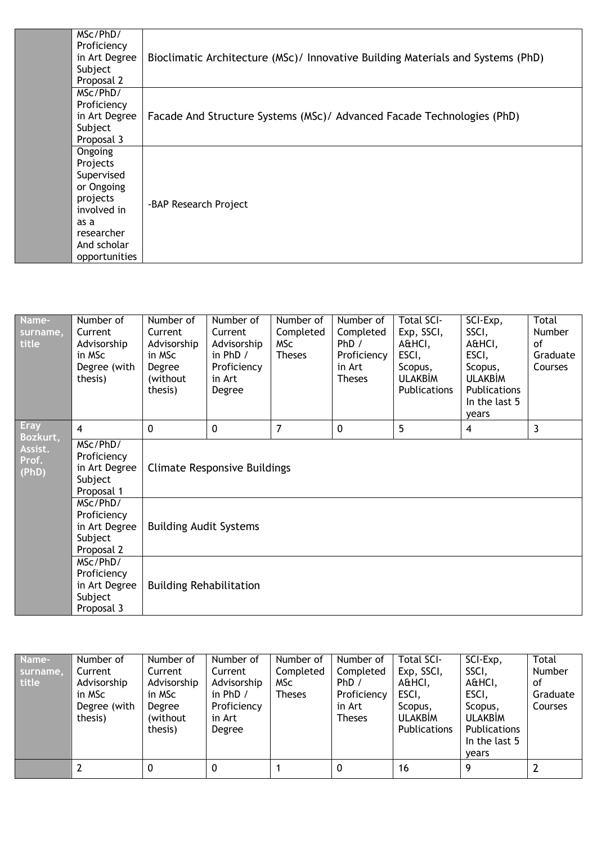| MSc/PhD/      |                                                                                 |
|---------------|---------------------------------------------------------------------------------|
| Proficiency   |                                                                                 |
| in Art Degree | Bioclimatic Architecture (MSc)/ Innovative Building Materials and Systems (PhD) |
| Subject       |                                                                                 |
| Proposal 2    |                                                                                 |
| MSc/PhD/      |                                                                                 |
| Proficiency   |                                                                                 |
| in Art Degree | Facade And Structure Systems (MSc)/ Advanced Facade Technologies (PhD)          |
| Subject       |                                                                                 |
| Proposal 3    |                                                                                 |
| Ongoing       |                                                                                 |
| Projects      |                                                                                 |
| Supervised    |                                                                                 |
| or Ongoing    |                                                                                 |
| projects      |                                                                                 |
| involved in   | -BAP Research Project                                                           |
| as a          |                                                                                 |
| researcher    |                                                                                 |
| And scholar   |                                                                                 |
| opportunities |                                                                                 |
|               |                                                                                 |

| Name-<br>surname,<br>title | Number of<br>Current<br>Advisorship<br>in MSc<br>Degree (with<br>thesis) | Number of<br>Current<br>Advisorship<br>in MSc<br>Degree<br>(without<br>thesis) | Number of<br>Current<br>Advisorship<br>in $PhD /$<br>Proficiency<br>in Art<br>Degree | Number of<br>Completed<br>MSc<br><b>Theses</b> | Number of<br>Completed<br>PhD/<br>Proficiency<br>in Art<br><b>Theses</b> | <b>Total SCI-</b><br>Exp, SSCI,<br>A&HCI,<br>ESCI,<br>Scopus,<br><b>ULAKBİM</b><br>Publications | SCI-Exp,<br>SSCI,<br>A&HCI,<br>ESCI,<br>Scopus,<br><b>ULAKBIM</b><br>Publications<br>In the last 5<br>years | <b>Total</b><br>Number<br>of<br>Graduate<br>Courses |  |  |
|----------------------------|--------------------------------------------------------------------------|--------------------------------------------------------------------------------|--------------------------------------------------------------------------------------|------------------------------------------------|--------------------------------------------------------------------------|-------------------------------------------------------------------------------------------------|-------------------------------------------------------------------------------------------------------------|-----------------------------------------------------|--|--|
| <b>Eray</b><br>Bozkurt,    | $\overline{4}$                                                           | $\mathbf{0}$                                                                   | $\mathbf 0$                                                                          | $\overline{7}$                                 | $\mathbf 0$                                                              | 5                                                                                               | 4                                                                                                           | $\mathbf{3}$                                        |  |  |
| Assist.<br>Prof.<br>(PhD)  | MSc/PhD/<br>Proficiency<br>in Art Degree<br>Subject<br>Proposal 1        | <b>Climate Responsive Buildings</b>                                            |                                                                                      |                                                |                                                                          |                                                                                                 |                                                                                                             |                                                     |  |  |
|                            | MSc/PhD/<br>Proficiency<br>in Art Degree<br>Subject<br>Proposal 2        | <b>Building Audit Systems</b>                                                  |                                                                                      |                                                |                                                                          |                                                                                                 |                                                                                                             |                                                     |  |  |
|                            | MSc/PhD/<br>Proficiency<br>in Art Degree<br>Subject<br>Proposal 3        | <b>Building Rehabilitation</b>                                                 |                                                                                      |                                                |                                                                          |                                                                                                 |                                                                                                             |                                                     |  |  |

| Name-             | Number of                                                   | Number of                                                          | Number of                                                               | Number of                         | Number of                                                    | <b>Total SCI-</b>                                                                 | SCI-Exp,                                                                               | <b>Total</b>                        |
|-------------------|-------------------------------------------------------------|--------------------------------------------------------------------|-------------------------------------------------------------------------|-----------------------------------|--------------------------------------------------------------|-----------------------------------------------------------------------------------|----------------------------------------------------------------------------------------|-------------------------------------|
| surname,<br>title | Current<br>Advisorship<br>in MSc<br>Degree (with<br>thesis) | Current<br>Advisorship<br>in MSc<br>Degree<br>(without)<br>thesis) | Current<br>Advisorship<br>in $PhD /$<br>Proficiency<br>in Art<br>Degree | Completed<br>MSc<br><b>Theses</b> | Completed<br>PhD /<br>Proficiency<br>in Art<br><b>Theses</b> | Exp, SSCI,<br>A&HCI,<br>ESCI,<br>Scopus,<br><b>ULAKBIM</b><br><b>Publications</b> | SSCI,<br>A&HCI,<br>ESCI,<br>Scopus,<br><b>ULAKBIM</b><br>Publications<br>In the last 5 | Number<br>of<br>Graduate<br>Courses |
|                   |                                                             |                                                                    |                                                                         |                                   |                                                              |                                                                                   | vears                                                                                  |                                     |
|                   |                                                             | 0                                                                  | 0                                                                       |                                   | 0                                                            | 16                                                                                | 9                                                                                      |                                     |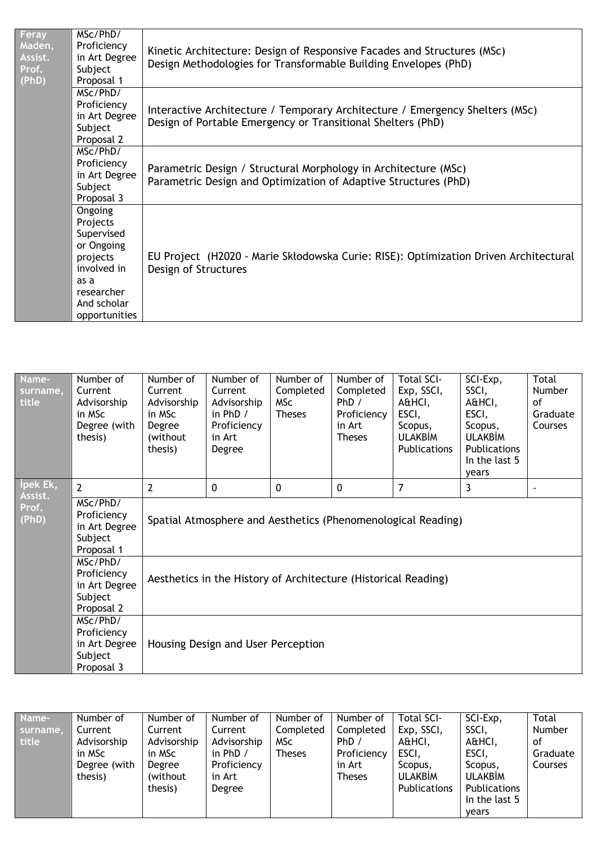| Feray<br>Maden,<br>Assist.<br>Prof.<br>(PhD) | MSc/PhD/<br>Proficiency<br>in Art Degree<br>Subject<br>Proposal 1                                                                | Kinetic Architecture: Design of Responsive Facades and Structures (MSc)<br>Design Methodologies for Transformable Building Envelopes (PhD)  |
|----------------------------------------------|----------------------------------------------------------------------------------------------------------------------------------|---------------------------------------------------------------------------------------------------------------------------------------------|
|                                              | MSc/PhD/<br>Proficiency<br>in Art Degree<br>Subject<br>Proposal 2                                                                | Interactive Architecture / Temporary Architecture / Emergency Shelters (MSc)<br>Design of Portable Emergency or Transitional Shelters (PhD) |
|                                              | MSc/PhD/<br>Proficiency<br>in Art Degree<br>Subject<br>Proposal 3                                                                | Parametric Design / Structural Morphology in Architecture (MSc)<br>Parametric Design and Optimization of Adaptive Structures (PhD)          |
|                                              | Ongoing<br>Projects<br>Supervised<br>or Ongoing<br>projects<br>involved in<br>as a<br>researcher<br>And scholar<br>opportunities | EU Project (H2020 - Marie Skłodowska Curie: RISE): Optimization Driven Architectural<br>Design of Structures                                |

| Name-<br>surname,<br>title | Number of<br>Current<br>Advisorship<br>in MSc<br>Degree (with<br>thesis) | Number of<br>Current<br>Advisorship<br>in MSc<br>Degree<br>(without)<br>thesis) | Number of<br>Current<br>Advisorship<br>in $PhD /$<br>Proficiency<br>in Art<br>Degree | Number of<br>Completed<br>MSc<br><b>Theses</b> | Number of<br>Completed<br>PhD /<br>Proficiency<br>in Art<br><b>Theses</b> | <b>Total SCI-</b><br>Exp, SSCI,<br>A&HCI,<br>ESCI,<br>Scopus,<br><b>ULAKBIM</b><br><b>Publications</b> | SCI-Exp,<br>SSCI,<br>A&HCI,<br>ESCI,<br>Scopus,<br><b>ULAKBIM</b><br><b>Publications</b><br>In the last 5<br>vears | <b>Total</b><br><b>Number</b><br>of<br>Graduate<br>Courses |  |
|----------------------------|--------------------------------------------------------------------------|---------------------------------------------------------------------------------|--------------------------------------------------------------------------------------|------------------------------------------------|---------------------------------------------------------------------------|--------------------------------------------------------------------------------------------------------|--------------------------------------------------------------------------------------------------------------------|------------------------------------------------------------|--|
| lpek Ek,<br>Assist.        | $\overline{2}$                                                           | $\overline{2}$                                                                  | 0                                                                                    | $\mathbf{0}$                                   | 0                                                                         | $\overline{7}$                                                                                         | 3                                                                                                                  | $\blacksquare$                                             |  |
| Prof.<br>(PhD)             | MSc/PhD/<br>Proficiency<br>in Art Degree<br>Subject<br>Proposal 1        | Spatial Atmosphere and Aesthetics (Phenomenological Reading)                    |                                                                                      |                                                |                                                                           |                                                                                                        |                                                                                                                    |                                                            |  |
|                            | MSc/PhD/<br>Proficiency<br>in Art Degree<br>Subject<br>Proposal 2        | Aesthetics in the History of Architecture (Historical Reading)                  |                                                                                      |                                                |                                                                           |                                                                                                        |                                                                                                                    |                                                            |  |
|                            | MSc/PhD/<br>Proficiency<br>in Art Degree<br>Subject<br>Proposal 3        | Housing Design and User Perception                                              |                                                                                      |                                                |                                                                           |                                                                                                        |                                                                                                                    |                                                            |  |

| Name-    | Number of    | Number of   | Number of   | Number of  | Number of     | <b>Total SCI-</b> | SCI-Exp,       | Total    |
|----------|--------------|-------------|-------------|------------|---------------|-------------------|----------------|----------|
| surname, | Current      | Current     | Current     | Completed  | Completed     | Exp, SSCI,        | SSCI,          | Number   |
| title    | Advisorship  | Advisorship | Advisorship | <b>MSc</b> | PhD /         | A&HCI,            | A&HCI,         | 0f       |
|          | in MSc       | in MSc      | in $PhD /$  | Theses     | Proficiency   | ESCI,             | ESCI,          | Graduate |
|          | Degree (with | Degree      | Proficiency |            | in Art        | Scopus.           | Scopus,        | Courses  |
|          | thesis)      | (without)   | in Art      |            | <b>Theses</b> | <b>ULAKBIM</b>    | <b>ULAKBIM</b> |          |
|          |              | thesis)     | Degree      |            |               | Publications      | Publications   |          |
|          |              |             |             |            |               |                   | In the last 5  |          |
|          |              |             |             |            |               |                   | vears          |          |